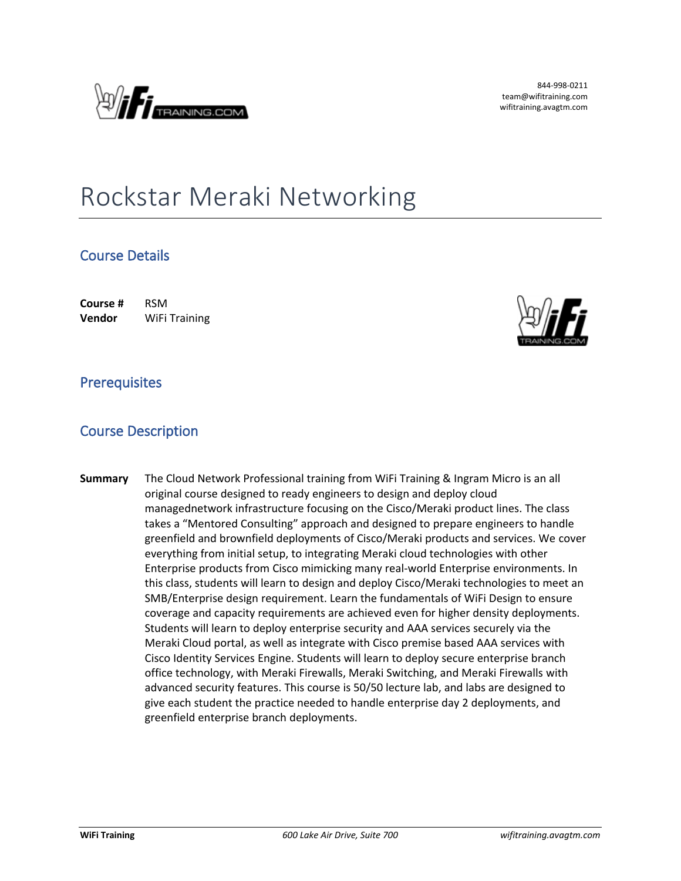

844-998-0211 team@wifitraining.com wifitraining.avagtm.com

# Rockstar Meraki Networking

## **Course Details**

**Course #** RSM **Vendor** WiFi Training



#### **Prerequisites**

### **Course Description**

**Summary** The Cloud Network Professional training from WiFi Training & Ingram Micro is an all original course designed to ready engineers to design and deploy cloud managednetwork infrastructure focusing on the Cisco/Meraki product lines. The class takes a "Mentored Consulting" approach and designed to prepare engineers to handle greenfield and brownfield deployments of Cisco/Meraki products and services. We cover everything from initial setup, to integrating Meraki cloud technologies with other Enterprise products from Cisco mimicking many real-world Enterprise environments. In this class, students will learn to design and deploy Cisco/Meraki technologies to meet an SMB/Enterprise design requirement. Learn the fundamentals of WiFi Design to ensure coverage and capacity requirements are achieved even for higher density deployments. Students will learn to deploy enterprise security and AAA services securely via the Meraki Cloud portal, as well as integrate with Cisco premise based AAA services with Cisco Identity Services Engine. Students will learn to deploy secure enterprise branch office technology, with Meraki Firewalls, Meraki Switching, and Meraki Firewalls with advanced security features. This course is 50/50 lecture lab, and labs are designed to give each student the practice needed to handle enterprise day 2 deployments, and greenfield enterprise branch deployments.